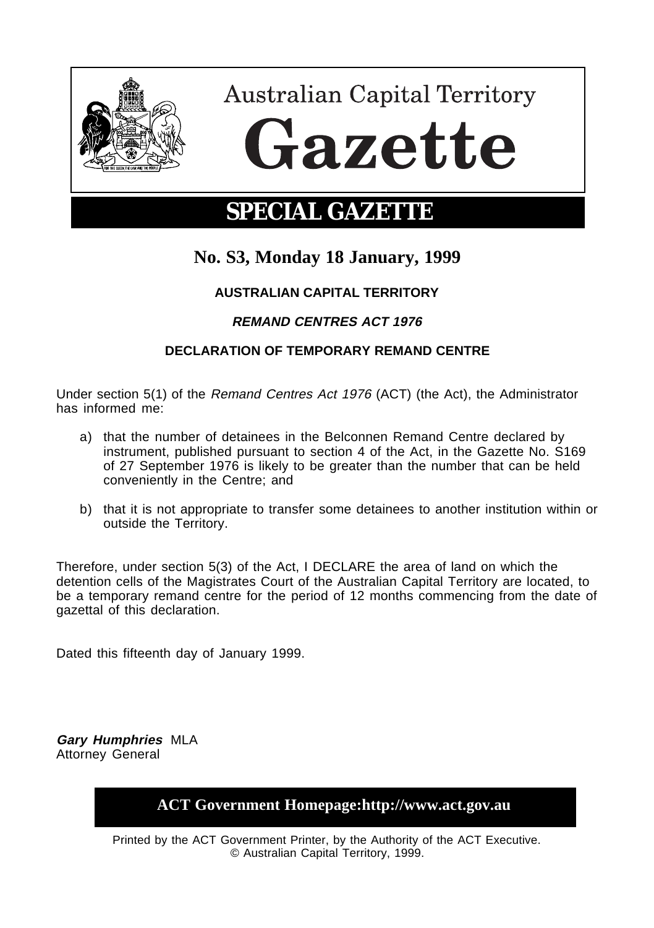

**Australian Capital Territory** Gazette

# **SPECIAL GAZETTE**

## **No. S3, Monday 18 January, 1999**

### **AUSTRALIAN CAPITAL TERRITORY**

### **REMAND CENTRES ACT 1976**

#### **DECLARATION OF TEMPORARY REMAND CENTRE**

Under section 5(1) of the Remand Centres Act 1976 (ACT) (the Act), the Administrator has informed me:

- a) that the number of detainees in the Belconnen Remand Centre declared by instrument, published pursuant to section 4 of the Act, in the Gazette No. S169 of 27 September 1976 is likely to be greater than the number that can be held conveniently in the Centre; and
- b) that it is not appropriate to transfer some detainees to another institution within or outside the Territory.

Therefore, under section 5(3) of the Act, I DECLARE the area of land on which the detention cells of the Magistrates Court of the Australian Capital Territory are located, to be a temporary remand centre for the period of 12 months commencing from the date of gazettal of this declaration.

Dated this fifteenth day of January 1999.

**Gary Humphries** MLA Attorney General

**ACT Government Homepage:http://www.act.gov.au**

Printed by the ACT Government Printer, by the Authority of the ACT Executive. © Australian Capital Territory, 1999.